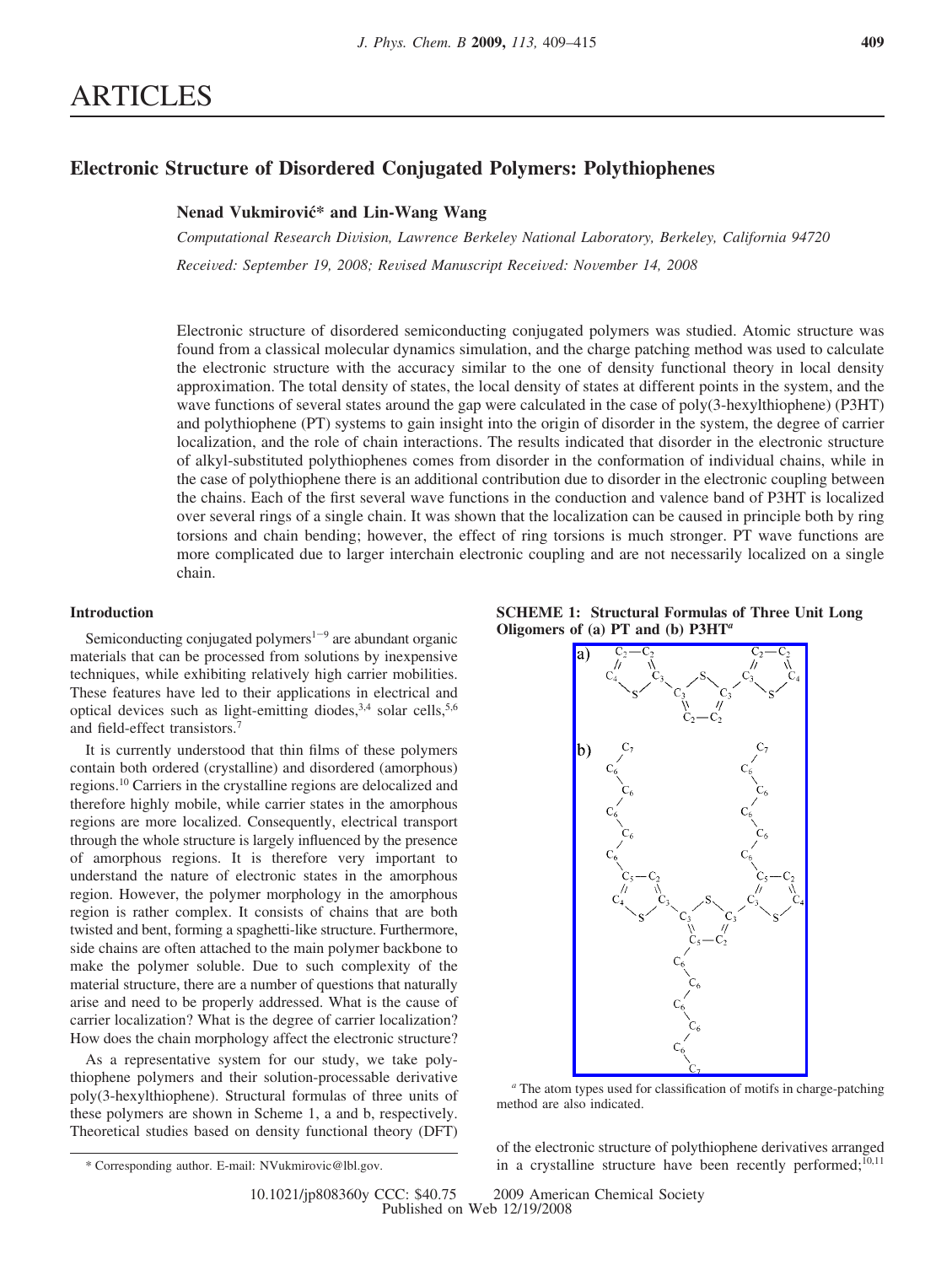# **Electronic Structure of Disordered Conjugated Polymers: Polythiophenes**

# **Nenad Vukmirovic´\* and Lin-Wang Wang**

*Computational Research Di*V*ision, Lawrence Berkeley National Laboratory, Berkeley, California 94720 Recei*V*ed: September 19, 2008; Re*V*ised Manuscript Recei*V*ed: No*V*ember 14, 2008*

Electronic structure of disordered semiconducting conjugated polymers was studied. Atomic structure was found from a classical molecular dynamics simulation, and the charge patching method was used to calculate the electronic structure with the accuracy similar to the one of density functional theory in local density approximation. The total density of states, the local density of states at different points in the system, and the wave functions of several states around the gap were calculated in the case of poly(3-hexylthiophene) (P3HT) and polythiophene (PT) systems to gain insight into the origin of disorder in the system, the degree of carrier localization, and the role of chain interactions. The results indicated that disorder in the electronic structure of alkyl-substituted polythiophenes comes from disorder in the conformation of individual chains, while in the case of polythiophene there is an additional contribution due to disorder in the electronic coupling between the chains. Each of the first several wave functions in the conduction and valence band of P3HT is localized over several rings of a single chain. It was shown that the localization can be caused in principle both by ring torsions and chain bending; however, the effect of ring torsions is much stronger. PT wave functions are more complicated due to larger interchain electronic coupling and are not necessarily localized on a single chain.

## **Introduction**

Semiconducting conjugated polymers<sup> $1-9$ </sup> are abundant organic materials that can be processed from solutions by inexpensive techniques, while exhibiting relatively high carrier mobilities. These features have led to their applications in electrical and optical devices such as light-emitting diodes,<sup>3,4</sup> solar cells,<sup>5,6</sup> and field-effect transistors.7

It is currently understood that thin films of these polymers contain both ordered (crystalline) and disordered (amorphous) regions.10 Carriers in the crystalline regions are delocalized and therefore highly mobile, while carrier states in the amorphous regions are more localized. Consequently, electrical transport through the whole structure is largely influenced by the presence of amorphous regions. It is therefore very important to understand the nature of electronic states in the amorphous region. However, the polymer morphology in the amorphous region is rather complex. It consists of chains that are both twisted and bent, forming a spaghetti-like structure. Furthermore, side chains are often attached to the main polymer backbone to make the polymer soluble. Due to such complexity of the material structure, there are a number of questions that naturally arise and need to be properly addressed. What is the cause of carrier localization? What is the degree of carrier localization? How does the chain morphology affect the electronic structure?

As a representative system for our study, we take polythiophene polymers and their solution-processable derivative poly(3-hexylthiophene). Structural formulas of three units of these polymers are shown in Scheme 1, a and b, respectively. Theoretical studies based on density functional theory (DFT)





*<sup>a</sup>* The atom types used for classification of motifs in charge-patching method are also indicated.

of the electronic structure of polythiophene derivatives arranged in a crystalline structure have been recently performed;10,11 \* Corresponding author. E-mail: NVukmirovic@lbl.gov.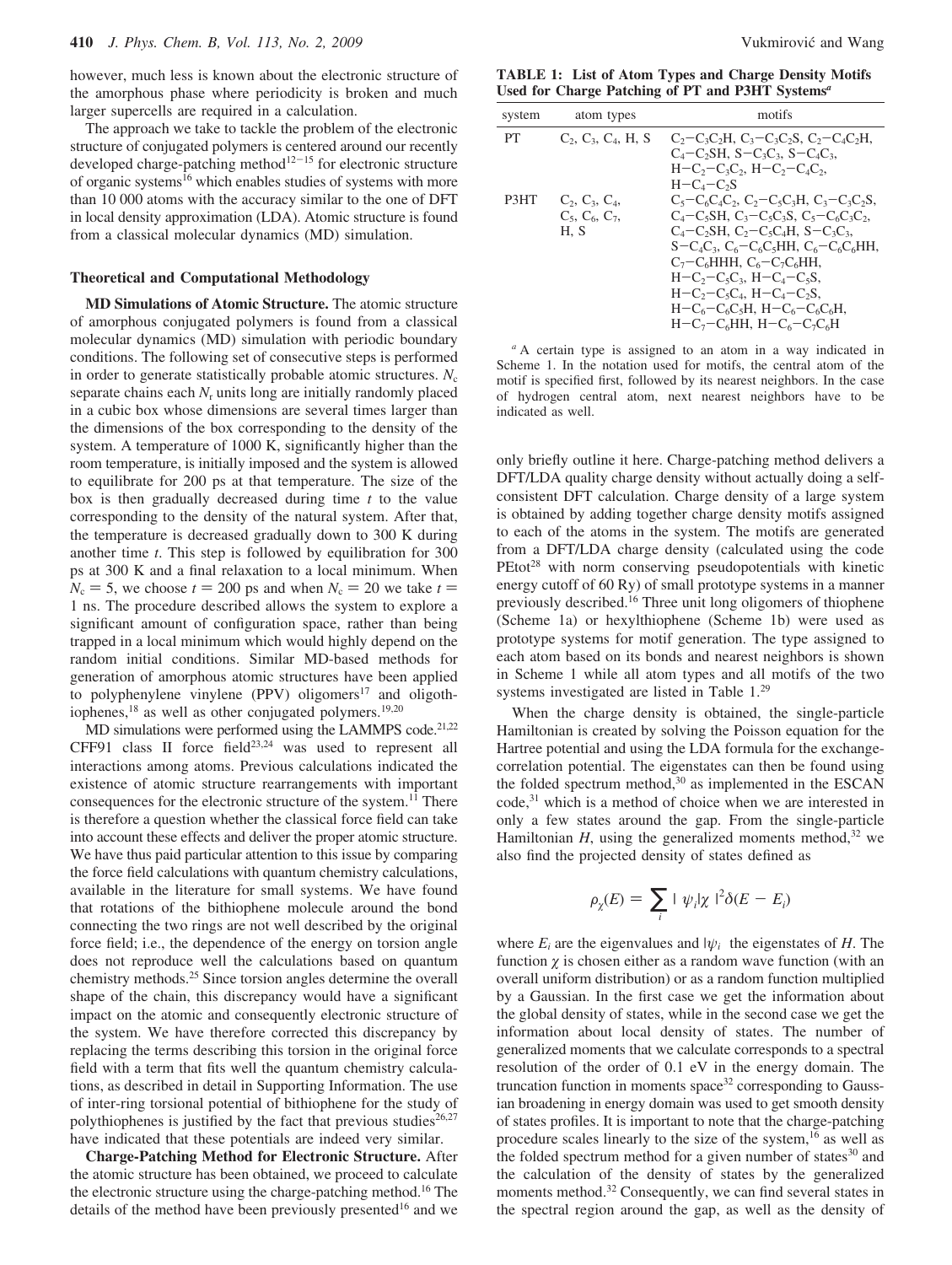however, much less is known about the electronic structure of the amorphous phase where periodicity is broken and much larger supercells are required in a calculation.

The approach we take to tackle the problem of the electronic structure of conjugated polymers is centered around our recently developed charge-patching method<sup>12-15</sup> for electronic structure of organic systems<sup>16</sup> which enables studies of systems with more than 10 000 atoms with the accuracy similar to the one of DFT in local density approximation (LDA). Atomic structure is found from a classical molecular dynamics (MD) simulation.

### **Theoretical and Computational Methodology**

**MD Simulations of Atomic Structure.** The atomic structure of amorphous conjugated polymers is found from a classical molecular dynamics (MD) simulation with periodic boundary conditions. The following set of consecutive steps is performed in order to generate statistically probable atomic structures.  $N_c$ separate chains each  $N_r$  units long are initially randomly placed in a cubic box whose dimensions are several times larger than the dimensions of the box corresponding to the density of the system. A temperature of 1000 K, significantly higher than the room temperature, is initially imposed and the system is allowed to equilibrate for 200 ps at that temperature. The size of the box is then gradually decreased during time *t* to the value corresponding to the density of the natural system. After that, the temperature is decreased gradually down to 300 K during another time *t*. This step is followed by equilibration for 300 ps at 300 K and a final relaxation to a local minimum. When  $N_c = 5$ , we choose  $t = 200$  ps and when  $N_c = 20$  we take  $t =$ 1 ns. The procedure described allows the system to explore a significant amount of configuration space, rather than being trapped in a local minimum which would highly depend on the random initial conditions. Similar MD-based methods for generation of amorphous atomic structures have been applied to polyphenylene vinylene  $(PPV)$  oligomers<sup>17</sup> and oligothiophenes, $18$  as well as other conjugated polymers. $19,20$ 

MD simulations were performed using the LAMMPS code.<sup>21,22</sup> CFF91 class II force  $field^{23,24}$  was used to represent all interactions among atoms. Previous calculations indicated the existence of atomic structure rearrangements with important consequences for the electronic structure of the system.<sup>11</sup> There is therefore a question whether the classical force field can take into account these effects and deliver the proper atomic structure. We have thus paid particular attention to this issue by comparing the force field calculations with quantum chemistry calculations, available in the literature for small systems. We have found that rotations of the bithiophene molecule around the bond connecting the two rings are not well described by the original force field; i.e., the dependence of the energy on torsion angle does not reproduce well the calculations based on quantum chemistry methods.25 Since torsion angles determine the overall shape of the chain, this discrepancy would have a significant impact on the atomic and consequently electronic structure of the system. We have therefore corrected this discrepancy by replacing the terms describing this torsion in the original force field with a term that fits well the quantum chemistry calculations, as described in detail in Supporting Information. The use of inter-ring torsional potential of bithiophene for the study of polythiophenes is justified by the fact that previous studies $26,27$ have indicated that these potentials are indeed very similar.

**Charge-Patching Method for Electronic Structure.** After the atomic structure has been obtained, we proceed to calculate the electronic structure using the charge-patching method.16 The details of the method have been previously presented<sup>16</sup> and we

**TABLE 1: List of Atom Types and Charge Density Motifs Used for Charge Patching of PT and P3HT Systems***<sup>a</sup>*

| system | atom types                                          | motifs                                                                                                                                                                                                                                                                                                                                                                                                                                                                        |
|--------|-----------------------------------------------------|-------------------------------------------------------------------------------------------------------------------------------------------------------------------------------------------------------------------------------------------------------------------------------------------------------------------------------------------------------------------------------------------------------------------------------------------------------------------------------|
| PT     | $C_2, C_3, C_4, H, S$                               | $C_2-C_3C_2H$ , $C_3-C_3C_2S$ , $C_2-C_4C_2H$ ,<br>$C_4-C_2SH$ , $S-C_3C_3$ , $S-C_4C_3$ ,<br>$H-C_2-C_3C_2$ , $H-C_2-C_4C_2$ .<br>$H-C4-C2S$                                                                                                                                                                                                                                                                                                                                 |
| P3HT   | $C_2, C_3, C_4,$<br>$C_5$ , $C_6$ , $C_7$ ,<br>H, S | $C_5 - C_6 C_4 C_2$ , $C_2 - C_5 C_3 H$ , $C_3 - C_3 C_2 S$ ,<br>$C_4 - C_5$ SH, $C_3 - C_5C_3$ S, $C_5 - C_6C_3C_2$<br>$C_4$ –C <sub>2</sub> SH, C <sub>2</sub> –C <sub>5</sub> C <sub>4</sub> H, S–C <sub>3</sub> C <sub>3</sub> ,<br>$S - C_4C_3$ , $C_6 - C_6C_5HH$ , $C_6 - C_6C_6HH$ ,<br>$C_7-C_6$ HHH, $C_6-C_7C_6$ HH,<br>$H-C_2-C_5C_3$ , $H-C_4-C_5S$ ,<br>$H-C_2-C_5C_4$ , $H-C_4-C_2S$ ,<br>$H-C_6-C_6C_5H$ , $H-C_6-C_6C_6H$<br>$H-C_7-C_6HH$ . $H-C_6-C_7C_6H$ |

*<sup>a</sup>* A certain type is assigned to an atom in a way indicated in Scheme 1. In the notation used for motifs, the central atom of the motif is specified first, followed by its nearest neighbors. In the case of hydrogen central atom, next nearest neighbors have to be indicated as well.

only briefly outline it here. Charge-patching method delivers a DFT/LDA quality charge density without actually doing a selfconsistent DFT calculation. Charge density of a large system is obtained by adding together charge density motifs assigned to each of the atoms in the system. The motifs are generated from a DFT/LDA charge density (calculated using the code PEtot<sup>28</sup> with norm conserving pseudopotentials with kinetic energy cutoff of 60 Ry) of small prototype systems in a manner previously described.16 Three unit long oligomers of thiophene (Scheme 1a) or hexylthiophene (Scheme 1b) were used as prototype systems for motif generation. The type assigned to each atom based on its bonds and nearest neighbors is shown in Scheme 1 while all atom types and all motifs of the two systems investigated are listed in Table 1.29

When the charge density is obtained, the single-particle Hamiltonian is created by solving the Poisson equation for the Hartree potential and using the LDA formula for the exchangecorrelation potential. The eigenstates can then be found using the folded spectrum method,<sup>30</sup> as implemented in the ESCAN code,<sup>31</sup> which is a method of choice when we are interested in only a few states around the gap. From the single-particle Hamiltonian  $H$ , using the generalized moments method,<sup>32</sup> we also find the projected density of states defined as

$$
\rho_{\chi}(E) = \sum_{i} |\langle \psi_{i} | \chi \rangle|^{2} \delta(E - E_{i})
$$

where  $E_i$  are the eigenvalues and  $|\psi_i\rangle$  the eigenstates of *H*. The function  $\gamma$  is chosen either as a random wave function (with an overall uniform distribution) or as a random function multiplied by a Gaussian. In the first case we get the information about the global density of states, while in the second case we get the information about local density of states. The number of generalized moments that we calculate corresponds to a spectral resolution of the order of 0.1 eV in the energy domain. The truncation function in moments space<sup>32</sup> corresponding to Gaussian broadening in energy domain was used to get smooth density of states profiles. It is important to note that the charge-patching procedure scales linearly to the size of the system, $16$  as well as the folded spectrum method for a given number of states $30$  and the calculation of the density of states by the generalized moments method.<sup>32</sup> Consequently, we can find several states in the spectral region around the gap, as well as the density of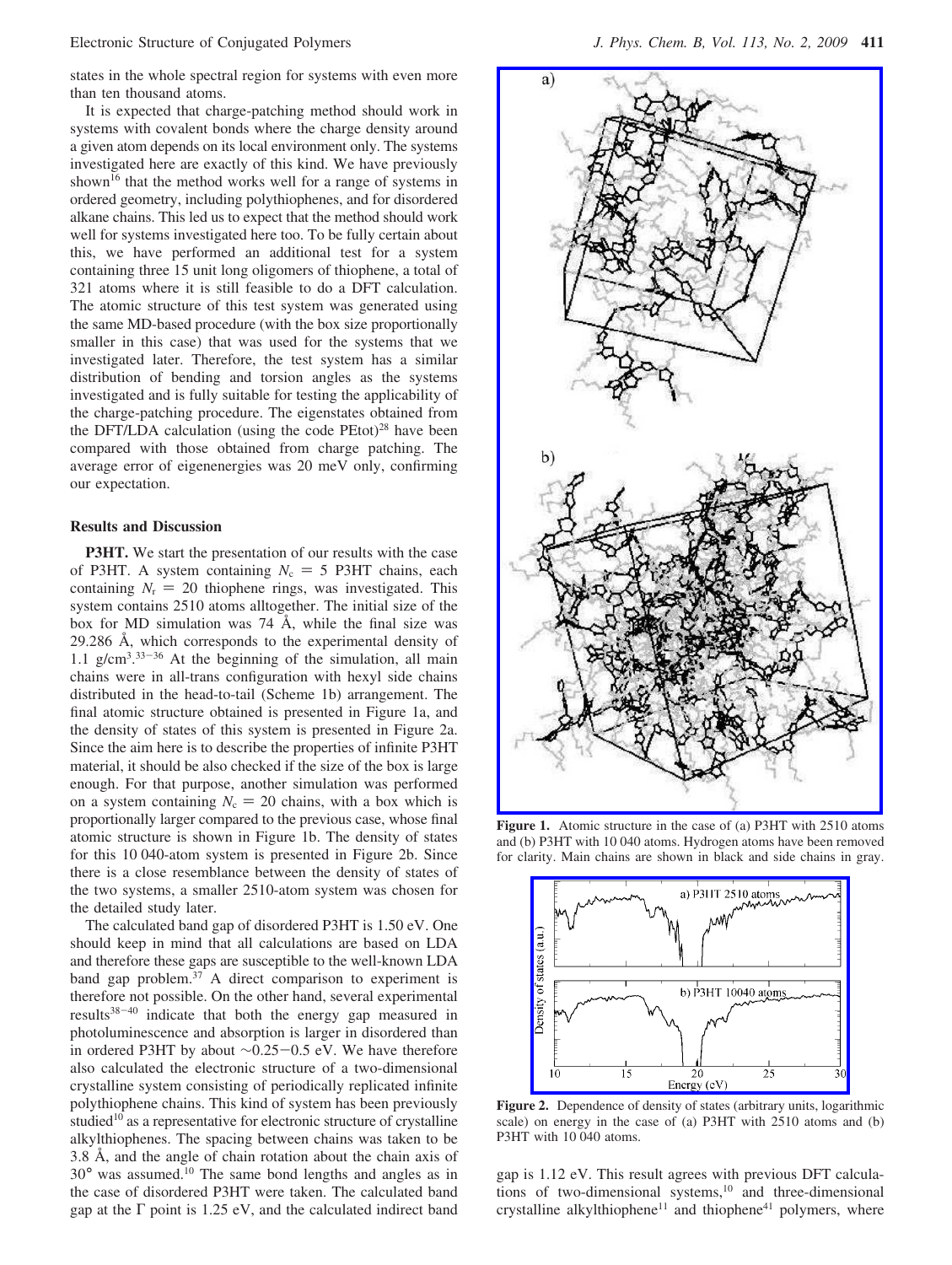states in the whole spectral region for systems with even more than ten thousand atoms.

It is expected that charge-patching method should work in systems with covalent bonds where the charge density around a given atom depends on its local environment only. The systems investigated here are exactly of this kind. We have previously shown<sup>16</sup> that the method works well for a range of systems in ordered geometry, including polythiophenes, and for disordered alkane chains. This led us to expect that the method should work well for systems investigated here too. To be fully certain about this, we have performed an additional test for a system containing three 15 unit long oligomers of thiophene, a total of 321 atoms where it is still feasible to do a DFT calculation. The atomic structure of this test system was generated using the same MD-based procedure (with the box size proportionally smaller in this case) that was used for the systems that we investigated later. Therefore, the test system has a similar distribution of bending and torsion angles as the systems investigated and is fully suitable for testing the applicability of the charge-patching procedure. The eigenstates obtained from the DFT/LDA calculation (using the code  $PEtot$ )<sup>28</sup> have been compared with those obtained from charge patching. The average error of eigenenergies was 20 meV only, confirming our expectation.

### **Results and Discussion**

**P3HT.** We start the presentation of our results with the case of P3HT. A system containing  $N_c = 5$  P3HT chains, each containing  $N_r = 20$  thiophene rings, was investigated. This system contains 2510 atoms alltogether. The initial size of the box for MD simulation was 74 Å, while the final size was 29.286 Å, which corresponds to the experimental density of 1.1  $g/cm<sup>3</sup>$ ,  $33-36$  At the beginning of the simulation, all main chains were in all-trans configuration with hexyl side chains distributed in the head-to-tail (Scheme 1b) arrangement. The final atomic structure obtained is presented in Figure 1a, and the density of states of this system is presented in Figure 2a. Since the aim here is to describe the properties of infinite P3HT material, it should be also checked if the size of the box is large enough. For that purpose, another simulation was performed on a system containing  $N_c = 20$  chains, with a box which is proportionally larger compared to the previous case, whose final atomic structure is shown in Figure 1b. The density of states for this 10 040-atom system is presented in Figure 2b. Since there is a close resemblance between the density of states of the two systems, a smaller 2510-atom system was chosen for the detailed study later.

The calculated band gap of disordered P3HT is 1.50 eV. One should keep in mind that all calculations are based on LDA and therefore these gaps are susceptible to the well-known LDA band gap problem.<sup>37</sup> A direct comparison to experiment is therefore not possible. On the other hand, several experimental results38-<sup>40</sup> indicate that both the energy gap measured in photoluminescence and absorption is larger in disordered than in ordered P3HT by about <sup>∼</sup>0.25-0.5 eV. We have therefore also calculated the electronic structure of a two-dimensional crystalline system consisting of periodically replicated infinite polythiophene chains. This kind of system has been previously studied<sup>10</sup> as a representative for electronic structure of crystalline alkylthiophenes. The spacing between chains was taken to be 3.8 Å, and the angle of chain rotation about the chain axis of 30° was assumed.10 The same bond lengths and angles as in the case of disordered P3HT were taken. The calculated band gap at the  $\Gamma$  point is 1.25 eV, and the calculated indirect band



**Figure 1.** Atomic structure in the case of (a) P3HT with 2510 atoms and (b) P3HT with 10 040 atoms. Hydrogen atoms have been removed for clarity. Main chains are shown in black and side chains in gray.



Figure 2. Dependence of density of states (arbitrary units, logarithmic scale) on energy in the case of (a) P3HT with 2510 atoms and (b) P3HT with 10 040 atoms.

gap is 1.12 eV. This result agrees with previous DFT calculations of two-dimensional systems,<sup>10</sup> and three-dimensional crystalline alkylthiophene<sup>11</sup> and thiophene<sup>41</sup> polymers, where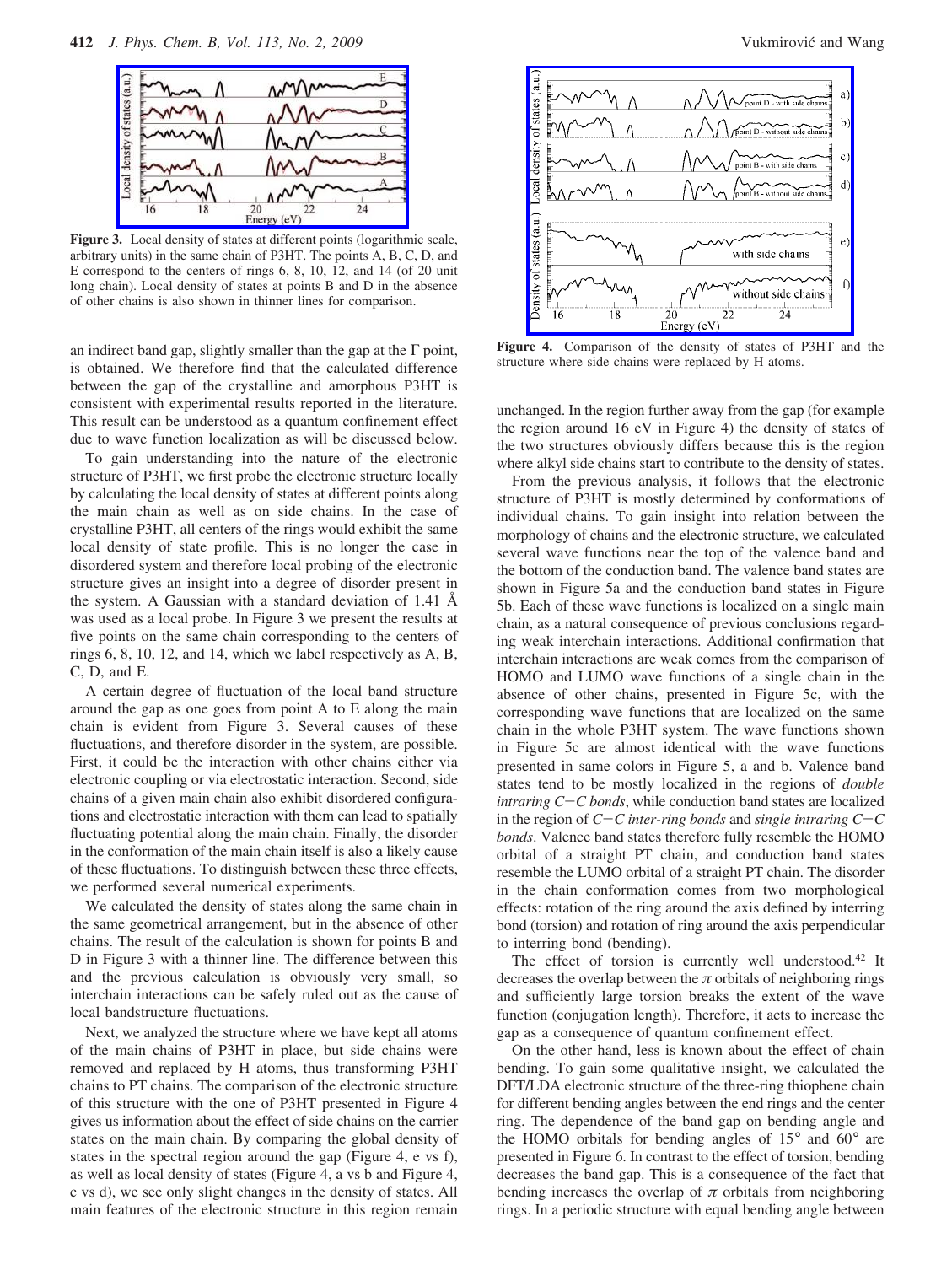

**Figure 3.** Local density of states at different points (logarithmic scale, arbitrary units) in the same chain of P3HT. The points A, B, C, D, and E correspond to the centers of rings 6, 8, 10, 12, and 14 (of 20 unit long chain). Local density of states at points B and D in the absence of other chains is also shown in thinner lines for comparison.

an indirect band gap, slightly smaller than the gap at the  $\Gamma$  point, is obtained. We therefore find that the calculated difference between the gap of the crystalline and amorphous P3HT is consistent with experimental results reported in the literature. This result can be understood as a quantum confinement effect due to wave function localization as will be discussed below.

To gain understanding into the nature of the electronic structure of P3HT, we first probe the electronic structure locally by calculating the local density of states at different points along the main chain as well as on side chains. In the case of crystalline P3HT, all centers of the rings would exhibit the same local density of state profile. This is no longer the case in disordered system and therefore local probing of the electronic structure gives an insight into a degree of disorder present in the system. A Gaussian with a standard deviation of 1.41 Å was used as a local probe. In Figure 3 we present the results at five points on the same chain corresponding to the centers of rings 6, 8, 10, 12, and 14, which we label respectively as A, B, C, D, and E.

A certain degree of fluctuation of the local band structure around the gap as one goes from point A to E along the main chain is evident from Figure 3. Several causes of these fluctuations, and therefore disorder in the system, are possible. First, it could be the interaction with other chains either via electronic coupling or via electrostatic interaction. Second, side chains of a given main chain also exhibit disordered configurations and electrostatic interaction with them can lead to spatially fluctuating potential along the main chain. Finally, the disorder in the conformation of the main chain itself is also a likely cause of these fluctuations. To distinguish between these three effects, we performed several numerical experiments.

We calculated the density of states along the same chain in the same geometrical arrangement, but in the absence of other chains. The result of the calculation is shown for points B and D in Figure 3 with a thinner line. The difference between this and the previous calculation is obviously very small, so interchain interactions can be safely ruled out as the cause of local bandstructure fluctuations.

Next, we analyzed the structure where we have kept all atoms of the main chains of P3HT in place, but side chains were removed and replaced by H atoms, thus transforming P3HT chains to PT chains. The comparison of the electronic structure of this structure with the one of P3HT presented in Figure 4 gives us information about the effect of side chains on the carrier states on the main chain. By comparing the global density of states in the spectral region around the gap (Figure 4, e vs f), as well as local density of states (Figure 4, a vs b and Figure 4, c vs d), we see only slight changes in the density of states. All main features of the electronic structure in this region remain



**Figure 4.** Comparison of the density of states of P3HT and the structure where side chains were replaced by H atoms.

unchanged. In the region further away from the gap (for example the region around 16 eV in Figure 4) the density of states of the two structures obviously differs because this is the region where alkyl side chains start to contribute to the density of states.

From the previous analysis, it follows that the electronic structure of P3HT is mostly determined by conformations of individual chains. To gain insight into relation between the morphology of chains and the electronic structure, we calculated several wave functions near the top of the valence band and the bottom of the conduction band. The valence band states are shown in Figure 5a and the conduction band states in Figure 5b. Each of these wave functions is localized on a single main chain, as a natural consequence of previous conclusions regarding weak interchain interactions. Additional confirmation that interchain interactions are weak comes from the comparison of HOMO and LUMO wave functions of a single chain in the absence of other chains, presented in Figure 5c, with the corresponding wave functions that are localized on the same chain in the whole P3HT system. The wave functions shown in Figure 5c are almost identical with the wave functions presented in same colors in Figure 5, a and b. Valence band states tend to be mostly localized in the regions of *double intraring C*-*C bonds*, while conduction band states are localized in the region of *<sup>C</sup>*-*C inter-ring bonds* and *single intraring C*-*<sup>C</sup> bonds*. Valence band states therefore fully resemble the HOMO orbital of a straight PT chain, and conduction band states resemble the LUMO orbital of a straight PT chain. The disorder in the chain conformation comes from two morphological effects: rotation of the ring around the axis defined by interring bond (torsion) and rotation of ring around the axis perpendicular to interring bond (bending).

The effect of torsion is currently well understood.<sup>42</sup> It decreases the overlap between the  $\pi$  orbitals of neighboring rings and sufficiently large torsion breaks the extent of the wave function (conjugation length). Therefore, it acts to increase the gap as a consequence of quantum confinement effect.

On the other hand, less is known about the effect of chain bending. To gain some qualitative insight, we calculated the DFT/LDA electronic structure of the three-ring thiophene chain for different bending angles between the end rings and the center ring. The dependence of the band gap on bending angle and the HOMO orbitals for bending angles of 15° and 60° are presented in Figure 6. In contrast to the effect of torsion, bending decreases the band gap. This is a consequence of the fact that bending increases the overlap of  $\pi$  orbitals from neighboring rings. In a periodic structure with equal bending angle between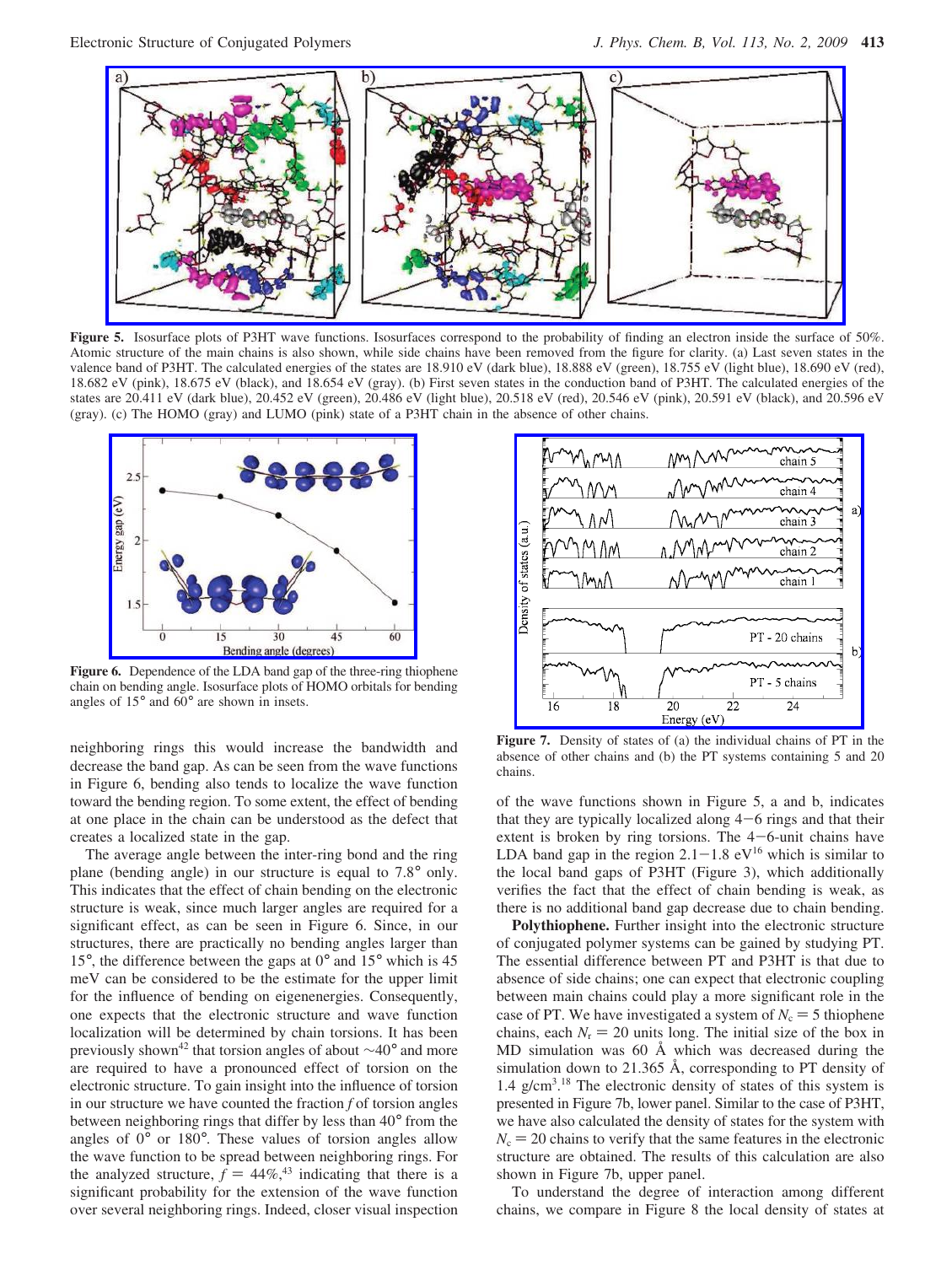

Figure 5. Isosurface plots of P3HT wave functions. Isosurfaces correspond to the probability of finding an electron inside the surface of 50%. Atomic structure of the main chains is also shown, while side chains have been removed from the figure for clarity. (a) Last seven states in the valence band of P3HT. The calculated energies of the states are 18.910 eV (dark blue), 18.888 eV (green), 18.755 eV (light blue), 18.690 eV (red), 18.682 eV (pink), 18.675 eV (black), and 18.654 eV (gray). (b) First seven states in the conduction band of P3HT. The calculated energies of the states are 20.411 eV (dark blue), 20.452 eV (green), 20.486 eV (light blue), 20.518 eV (red), 20.546 eV (pink), 20.591 eV (black), and 20.596 eV (gray). (c) The HOMO (gray) and LUMO (pink) state of a P3HT chain in the absence of other chains.



**Figure 6.** Dependence of the LDA band gap of the three-ring thiophene chain on bending angle. Isosurface plots of HOMO orbitals for bending angles of 15° and 60° are shown in insets.

neighboring rings this would increase the bandwidth and decrease the band gap. As can be seen from the wave functions in Figure 6, bending also tends to localize the wave function toward the bending region. To some extent, the effect of bending at one place in the chain can be understood as the defect that creates a localized state in the gap.

The average angle between the inter-ring bond and the ring plane (bending angle) in our structure is equal to 7.8° only. This indicates that the effect of chain bending on the electronic structure is weak, since much larger angles are required for a significant effect, as can be seen in Figure 6. Since, in our structures, there are practically no bending angles larger than 15°, the difference between the gaps at 0° and 15° which is 45 meV can be considered to be the estimate for the upper limit for the influence of bending on eigenenergies. Consequently, one expects that the electronic structure and wave function localization will be determined by chain torsions. It has been previously shown42 that torsion angles of about ∼40° and more are required to have a pronounced effect of torsion on the electronic structure. To gain insight into the influence of torsion in our structure we have counted the fraction *f* of torsion angles between neighboring rings that differ by less than 40° from the angles of 0° or 180°. These values of torsion angles allow the wave function to be spread between neighboring rings. For the analyzed structure,  $f = 44\%,^{43}$  indicating that there is a significant probability for the extension of the wave function over several neighboring rings. Indeed, closer visual inspection



**Figure 7.** Density of states of (a) the individual chains of PT in the absence of other chains and (b) the PT systems containing 5 and 20 chains.

of the wave functions shown in Figure 5, a and b, indicates that they are typically localized along  $4-6$  rings and that their extent is broken by ring torsions. The 4-6-unit chains have LDA band gap in the region  $2.1-1.8$  eV<sup>16</sup> which is similar to the local band gaps of P3HT (Figure 3), which additionally verifies the fact that the effect of chain bending is weak, as there is no additional band gap decrease due to chain bending.

**Polythiophene.** Further insight into the electronic structure of conjugated polymer systems can be gained by studying PT. The essential difference between PT and P3HT is that due to absence of side chains; one can expect that electronic coupling between main chains could play a more significant role in the case of PT. We have investigated a system of  $N_c = 5$  thiophene chains, each  $N_r = 20$  units long. The initial size of the box in MD simulation was 60 Å which was decreased during the simulation down to 21.365 Å, corresponding to PT density of 1.4 g/cm3 . <sup>18</sup> The electronic density of states of this system is presented in Figure 7b, lower panel. Similar to the case of P3HT, we have also calculated the density of states for the system with  $N_c = 20$  chains to verify that the same features in the electronic structure are obtained. The results of this calculation are also shown in Figure 7b, upper panel.

To understand the degree of interaction among different chains, we compare in Figure 8 the local density of states at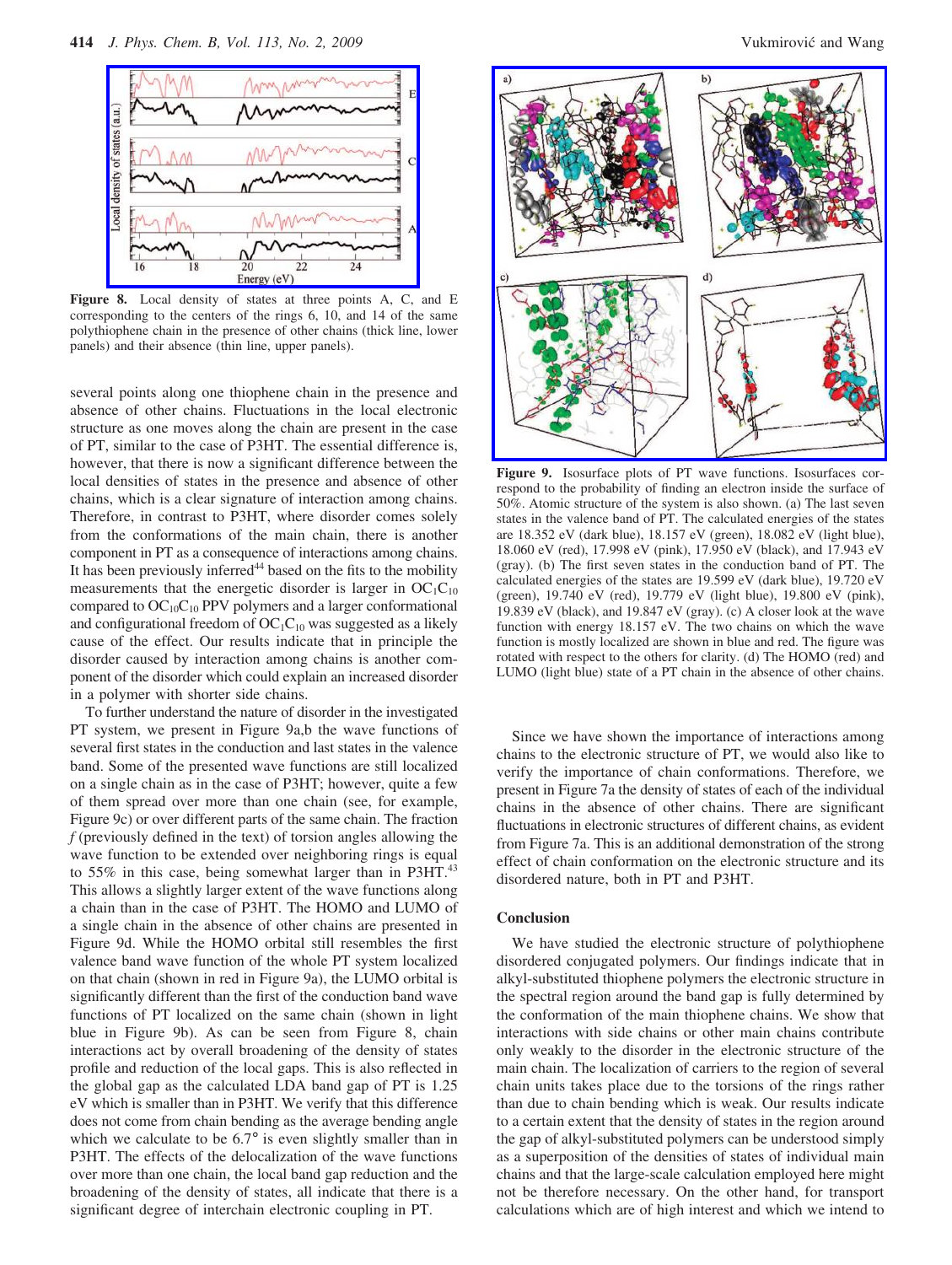

**Figure 8.** Local density of states at three points A, C, and E corresponding to the centers of the rings 6, 10, and 14 of the same polythiophene chain in the presence of other chains (thick line, lower panels) and their absence (thin line, upper panels).

several points along one thiophene chain in the presence and absence of other chains. Fluctuations in the local electronic structure as one moves along the chain are present in the case of PT, similar to the case of P3HT. The essential difference is, however, that there is now a significant difference between the local densities of states in the presence and absence of other chains, which is a clear signature of interaction among chains. Therefore, in contrast to P3HT, where disorder comes solely from the conformations of the main chain, there is another component in PT as a consequence of interactions among chains. It has been previously inferred<sup>44</sup> based on the fits to the mobility measurements that the energetic disorder is larger in  $OC_1C_{10}$ compared to  $OC_{10}C_{10}$  PPV polymers and a larger conformational and configurational freedom of  $OC_1C_{10}$  was suggested as a likely cause of the effect. Our results indicate that in principle the disorder caused by interaction among chains is another component of the disorder which could explain an increased disorder in a polymer with shorter side chains.

To further understand the nature of disorder in the investigated PT system, we present in Figure 9a,b the wave functions of several first states in the conduction and last states in the valence band. Some of the presented wave functions are still localized on a single chain as in the case of P3HT; however, quite a few of them spread over more than one chain (see, for example, Figure 9c) or over different parts of the same chain. The fraction *f* (previously defined in the text) of torsion angles allowing the wave function to be extended over neighboring rings is equal to 55% in this case, being somewhat larger than in P3HT.<sup>43</sup> This allows a slightly larger extent of the wave functions along a chain than in the case of P3HT. The HOMO and LUMO of a single chain in the absence of other chains are presented in Figure 9d. While the HOMO orbital still resembles the first valence band wave function of the whole PT system localized on that chain (shown in red in Figure 9a), the LUMO orbital is significantly different than the first of the conduction band wave functions of PT localized on the same chain (shown in light blue in Figure 9b). As can be seen from Figure 8, chain interactions act by overall broadening of the density of states profile and reduction of the local gaps. This is also reflected in the global gap as the calculated LDA band gap of PT is 1.25 eV which is smaller than in P3HT. We verify that this difference does not come from chain bending as the average bending angle which we calculate to be  $6.7^{\circ}$  is even slightly smaller than in P3HT. The effects of the delocalization of the wave functions over more than one chain, the local band gap reduction and the broadening of the density of states, all indicate that there is a significant degree of interchain electronic coupling in PT.



**Figure 9.** Isosurface plots of PT wave functions. Isosurfaces correspond to the probability of finding an electron inside the surface of 50%. Atomic structure of the system is also shown. (a) The last seven states in the valence band of PT. The calculated energies of the states are 18.352 eV (dark blue), 18.157 eV (green), 18.082 eV (light blue), 18.060 eV (red), 17.998 eV (pink), 17.950 eV (black), and 17.943 eV (gray). (b) The first seven states in the conduction band of PT. The calculated energies of the states are 19.599 eV (dark blue), 19.720 eV (green), 19.740 eV (red), 19.779 eV (light blue), 19.800 eV (pink), 19.839 eV (black), and 19.847 eV (gray). (c) A closer look at the wave function with energy 18.157 eV. The two chains on which the wave function is mostly localized are shown in blue and red. The figure was rotated with respect to the others for clarity. (d) The HOMO (red) and LUMO (light blue) state of a PT chain in the absence of other chains.

Since we have shown the importance of interactions among chains to the electronic structure of PT, we would also like to verify the importance of chain conformations. Therefore, we present in Figure 7a the density of states of each of the individual chains in the absence of other chains. There are significant fluctuations in electronic structures of different chains, as evident from Figure 7a. This is an additional demonstration of the strong effect of chain conformation on the electronic structure and its disordered nature, both in PT and P3HT.

## **Conclusion**

We have studied the electronic structure of polythiophene disordered conjugated polymers. Our findings indicate that in alkyl-substituted thiophene polymers the electronic structure in the spectral region around the band gap is fully determined by the conformation of the main thiophene chains. We show that interactions with side chains or other main chains contribute only weakly to the disorder in the electronic structure of the main chain. The localization of carriers to the region of several chain units takes place due to the torsions of the rings rather than due to chain bending which is weak. Our results indicate to a certain extent that the density of states in the region around the gap of alkyl-substituted polymers can be understood simply as a superposition of the densities of states of individual main chains and that the large-scale calculation employed here might not be therefore necessary. On the other hand, for transport calculations which are of high interest and which we intend to